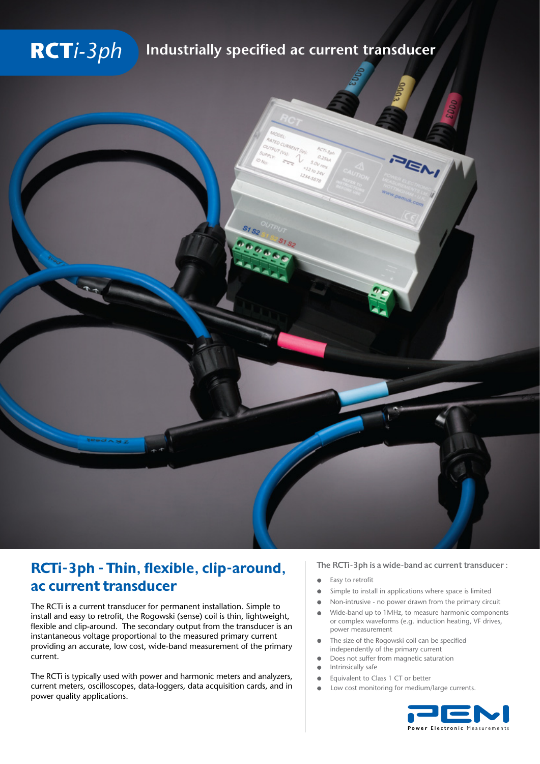# **RCT***i-3ph* **Industrially specified ac current transducer**



## RCTi-3ph - Thin, flexible, clip-around, ac current transducer

The RCTi is a current transducer for permanent installation. Simple to install and easy to retrofit, the Rogowski (sense) coil is thin, lightweight, flexible and clip-around. The secondary output from the transducer is an instantaneous voltage proportional to the measured primary current providing an accurate, low cost, wide-band measurement of the primary current.

The RCTi is typically used with power and harmonic meters and analyzers, current meters, oscilloscopes, data-loggers, data acquisition cards, and in power quality applications.

#### The RCTi-3ph is a wide-band ac current transducer :

- Easy to retrofit
- Simple to install in applications where space is limited
- Non-intrusive no power drawn from the primary circuit  $\bullet$
- Wide-band up to 1MHz, to measure harmonic components  $\bullet$ or complex waveforms (e.g. induction heating, VF drives, power measurement
- The size of the Rogowski coil can be specified independently of the primary current
- Does not suffer from magnetic saturation
- Intrinsically safe
- $\bullet$ Equivalent to Class 1 CT or better
- Low cost monitoring for medium/large currents.